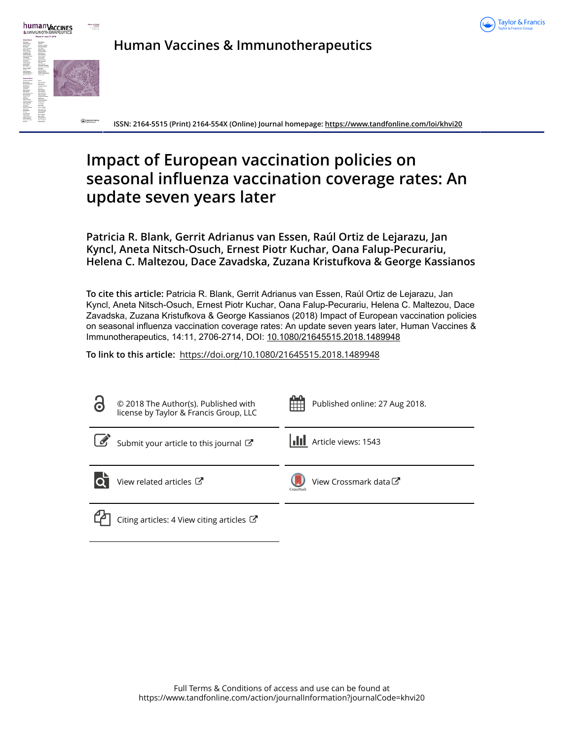



**Human Vaccines & Immunotherapeutics**

**ISSN: 2164-5515 (Print) 2164-554X (Online) Journal homepage: <https://www.tandfonline.com/loi/khvi20>**

# **Impact of European vaccination policies on seasonal influenza vaccination coverage rates: An update seven years later**

**Patricia R. Blank, Gerrit Adrianus van Essen, Raúl Ortiz de Lejarazu, Jan Kyncl, Aneta Nitsch-Osuch, Ernest Piotr Kuchar, Oana Falup-Pecurariu, Helena C. Maltezou, Dace Zavadska, Zuzana Kristufkova & George Kassianos**

**To cite this article:** Patricia R. Blank, Gerrit Adrianus van Essen, Raúl Ortiz de Lejarazu, Jan Kyncl, Aneta Nitsch-Osuch, Ernest Piotr Kuchar, Oana Falup-Pecurariu, Helena C. Maltezou, Dace Zavadska, Zuzana Kristufkova & George Kassianos (2018) Impact of European vaccination policies on seasonal influenza vaccination coverage rates: An update seven years later, Human Vaccines & Immunotherapeutics, 14:11, 2706-2714, DOI: [10.1080/21645515.2018.1489948](https://www.tandfonline.com/action/showCitFormats?doi=10.1080/21645515.2018.1489948)

**To link to this article:** <https://doi.org/10.1080/21645515.2018.1489948>

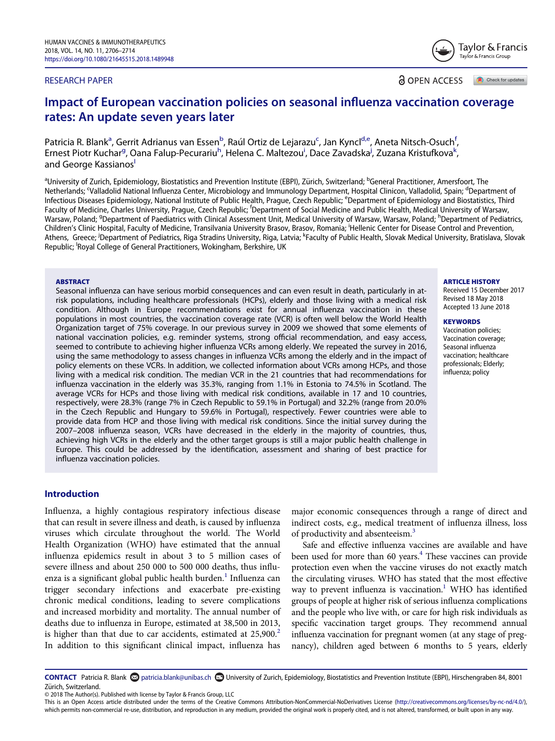#### RESEARCH PAPER

**a** OPEN ACCESS Check for updates

# Impact of European vaccination policies on seasonal influenza vaccination coverage rates: An update seven years later

P[a](#page-1-0)tricia R. Blank<sup>a</sup>, Gerrit Adrianus van Essen<sup>[b](#page-1-0)</sup>, Raúl Ortiz de Lejarazu<sup>[c](#page-1-1)</sup>, Jan Kyncl<sup>d[,e](#page-1-2)</sup>, Aneta Nitsch-Osuch<sup>[f](#page-1-3)</sup> , Ernest Piotr Kuchar<sup>[g](#page-1-4)</sup>, Oana Falup-Pecurariu<sup>[h](#page-1-4)</sup>, Helena C. Maltezou<sup>[i](#page-1-5)</sup>, Dace Zavadska<sup>j</sup>, Zuzana Kristufkova<sup>k</sup> , and George Kassianos<sup>1</sup>

<span id="page-1-5"></span><span id="page-1-4"></span><span id="page-1-3"></span><span id="page-1-2"></span><span id="page-1-1"></span><span id="page-1-0"></span><sup>a</sup>University of Zurich, Epidemiology, Biostatistics and Prevention Institute (EBPI), Zürich, Switzerland; <sup>b</sup>General Practitioner, Amersfoort, The Netherlands; Valladolid National Influenza Center, Microbiology and Immunology Department, Hospital Clinicon, Valladolid, Spain; <sup>d</sup>Department of Infectious Diseases Epidemiology, National Institute of Public Health, Prague, Czech Republic; <sup>e</sup>Department of Epidemiology and Biostatistics, Third Faculty of Medicine, Charles University, Prague, Czech Republic; <sup>f</sup>Department of Social Medicine and Public Health, Medical University of Warsaw, Warsaw, Poland; <sup>g</sup>Department of Paediatrics with Clinical Assessment Unit, Medical University of Warsaw, Warsaw, Poland; <sup>h</sup>Department of Pediatrics, Children's Clinic Hospital, Faculty of Medicine, Transilvania University Brasov, Brasov, Romania; <sup>i</sup> Hellenic Center for Disease Control and Prevention, Athens, Greece; <sup>j</sup>Department of Pediatrics, Riga Stradins University, Riga, Latvia; <sup>k</sup>Faculty of Public Health, Slovak Medical University, Bratislava, Slovak Republic; <sup>I</sup>Royal College of General Practitioners, Wokingham, Berkshire, UK

#### <span id="page-1-7"></span><span id="page-1-6"></span>**ABSTRACT**

Seasonal influenza can have serious morbid consequences and can even result in death, particularly in atrisk populations, including healthcare professionals (HCPs), elderly and those living with a medical risk condition. Although in Europe recommendations exist for annual influenza vaccination in these populations in most countries, the vaccination coverage rate (VCR) is often well below the World Health Organization target of 75% coverage. In our previous survey in 2009 we showed that some elements of national vaccination policies, e.g. reminder systems, strong official recommendation, and easy access, seemed to contribute to achieving higher influenza VCRs among elderly. We repeated the survey in 2016, using the same methodology to assess changes in influenza VCRs among the elderly and in the impact of policy elements on these VCRs. In addition, we collected information about VCRs among HCPs, and those living with a medical risk condition. The median VCR in the 21 countries that had recommendations for influenza vaccination in the elderly was 35.3%, ranging from 1.1% in Estonia to 74.5% in Scotland. The average VCRs for HCPs and those living with medical risk conditions, available in 17 and 10 countries, respectively, were 28.3% (range 7% in Czech Republic to 59.1% in Portugal) and 32.2% (range from 20.0% in the Czech Republic and Hungary to 59.6% in Portugal), respectively. Fewer countries were able to provide data from HCP and those living with medical risk conditions. Since the initial survey during the 2007–2008 influenza season, VCRs have decreased in the elderly in the majority of countries, thus, achieving high VCRs in the elderly and the other target groups is still a major public health challenge in Europe. This could be addressed by the identification, assessment and sharing of best practice for influenza vaccination policies.

# Introduction

<span id="page-1-10"></span><span id="page-1-9"></span>Influenza, a highly contagious respiratory infectious disease that can result in severe illness and death, is caused by influenza viruses which circulate throughout the world. The World Health Organization (WHO) have estimated that the annual influenza epidemics result in about 3 to 5 million cases of severe illness and about 250 000 to 500 000 deaths, thus influ-enza is a significant global public health burden.<sup>[1](#page-8-0)</sup> Influenza can trigger secondary infections and exacerbate pre-existing chronic medical conditions, leading to severe complications and increased morbidity and mortality. The annual number of deaths due to influenza in Europe, estimated at 38,500 in 2013, is higher than that due to car accidents, estimated at  $25,900$  $25,900$ .<sup>2</sup> In addition to this significant clinical impact, influenza has

major economic consequences through a range of direct and indirect costs, e.g., medical treatment of influenza illness, loss of productivity and absenteeism.[3](#page-8-2)

Safe and effective influenza vaccines are available and have been used for more than 60 years.<sup>4</sup> These vaccines can provide protection even when the vaccine viruses do not exactly match the circulating viruses. WHO has stated that the most effective way to prevent influenza is vaccination.<sup>1</sup> WHO has identified groups of people at higher risk of serious influenza complications and the people who live with, or care for high risk individuals as specific vaccination target groups. They recommend annual influenza vaccination for pregnant women (at any stage of pregnancy), children aged between 6 months to 5 years, elderly

<span id="page-1-8"></span>CONTACT Patricia R. Blank **O** [patricia.blank@unibas.ch](mailto:patricia.blank@unibas.ch) **D** University of Zurich, Epidemiology, Biostatistics and Prevention Institute (EBPI), Hirschengraben 84, 8001 Zürich, Switzerland.

© 2018 The Author(s). Published with license by Taylor & Francis Group, LLC

#### ARTICLE HISTORY

Received 15 December 2017 Revised 18 May 2018 Accepted 13 June 2018

#### **KEYWORDS**

Vaccination policies; Vaccination coverage; Seasonal influenza vaccination; healthcare professionals; Elderly; influenza; policy



This is an Open Access article distributed under the terms of the Creative Commons Attribution-NonCommercial-NoDerivatives License [\(http://creativecommons.org/licenses/by-nc-nd/4.0/\)](http://creativecommons.org/licenses/by-nc-nd/4.0/), which permits non-commercial re-use, distribution, and reproduction in any medium, provided the original work is properly cited, and is not altered, transformed, or built upon in any way.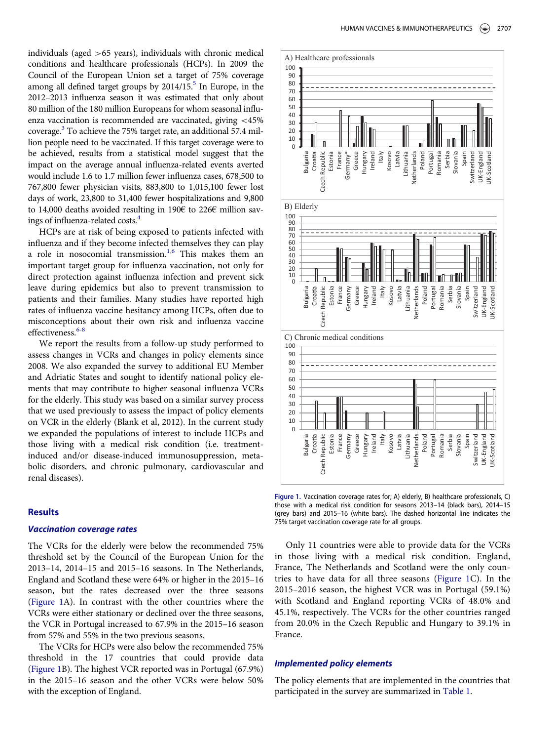<span id="page-2-1"></span><span id="page-2-0"></span>individuals (aged >65 years), individuals with chronic medical conditions and healthcare professionals (HCPs). In 2009 the Council of the European Union set a target of 75% coverage among all defined target groups by 2014/15.<sup>5</sup> In Europe, in the 2012–2013 influenza season it was estimated that only about 80 million of the 180 million Europeans for whom seasonal influenza vaccination is recommended are vaccinated, giving <45% coverage.[3](#page-8-2) To achieve the 75% target rate, an additional 57.4 million people need to be vaccinated. If this target coverage were to be achieved, results from a statistical model suggest that the impact on the average annual influenza-related events averted would include 1.6 to 1.7 million fewer influenza cases, 678,500 to 767,800 fewer physician visits, 883,800 to 1,015,100 fewer lost days of work, 23,800 to 31,400 fewer hospitalizations and 9,800 to 14,000 deaths avoided resulting in 190€ to 226€ million savings of influenza-related costs.[4](#page-8-3)

HCPs are at risk of being exposed to patients infected with influenza and if they become infected themselves they can play a role in nosocomial transmission.<sup>1,[6](#page-8-5)</sup> This makes them an important target group for influenza vaccination, not only for direct protection against influenza infection and prevent sick leave during epidemics but also to prevent transmission to patients and their families. Many studies have reported high rates of influenza vaccine hesitancy among HCPs, often due to misconceptions about their own risk and influenza vaccine effectiveness.<sup>[6-8](#page-8-5)</sup>

<span id="page-2-2"></span>We report the results from a follow-up study performed to assess changes in VCRs and changes in policy elements since 2008. We also expanded the survey to additional EU Member and Adriatic States and sought to identify national policy elements that may contribute to higher seasonal influenza VCRs for the elderly. This study was based on a similar survey process that we used previously to assess the impact of policy elements on VCR in the elderly (Blank et al, 2012). In the current study we expanded the populations of interest to include HCPs and those living with a medical risk condition (i.e. treatmentinduced and/or disease-induced immunosuppression, metabolic disorders, and chronic pulmonary, cardiovascular and renal diseases).

# Results

# Vaccination coverage rates

The VCRs for the elderly were below the recommended 75% threshold set by the Council of the European Union for the 2013–14, 2014–15 and 2015–16 seasons. In The Netherlands, England and Scotland these were 64% or higher in the 2015–16 season, but the rates decreased over the three seasons [\(Figure 1A](#page-2-0)). In contrast with the other countries where the VCRs were either stationary or declined over the three seasons, the VCR in Portugal increased to 67.9% in the 2015–16 season from 57% and 55% in the two previous seasons.

The VCRs for HCPs were also below the recommended 75% threshold in the 17 countries that could provide data [\(Figure 1B](#page-2-0)). The highest VCR reported was in Portugal (67.9%) in the 2015–16 season and the other VCRs were below 50% with the exception of England.



Figure 1. Vaccination coverage rates for; A) elderly, B) healthcare professionals, C) those with a medical risk condition for seasons 2013–14 (black bars), 2014–15 (grey bars) and 2015–16 (white bars). The dashed horizontal line indicates the 75% target vaccination coverage rate for all groups.

Only 11 countries were able to provide data for the VCRs in those living with a medical risk condition. England, France, The Netherlands and Scotland were the only countries to have data for all three seasons ([Figure 1](#page-2-0)C). In the 2015–2016 season, the highest VCR was in Portugal (59.1%) with Scotland and England reporting VCRs of 48.0% and 45.1%, respectively. The VCRs for the other countries ranged from 20.0% in the Czech Republic and Hungary to 39.1% in France.

# Implemented policy elements

The policy elements that are implemented in the countries that participated in the survey are summarized in [Table 1](#page-3-0).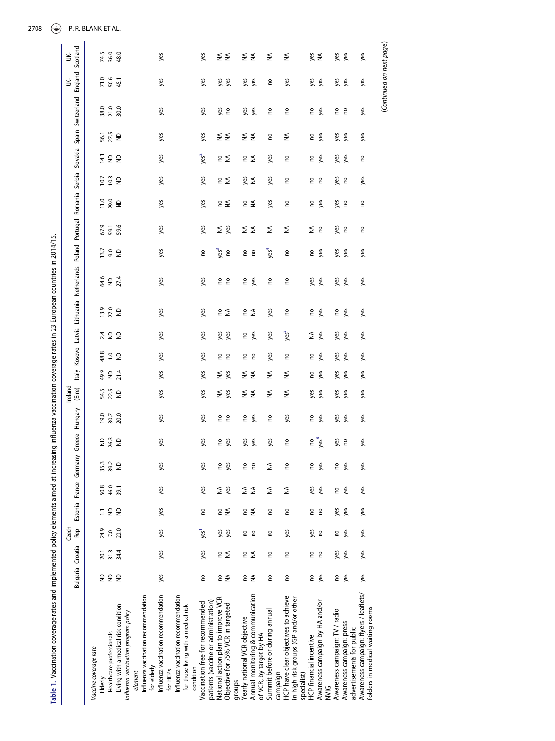<span id="page-3-0"></span>

| Table 1. Vaccination coverage rates and implemented policy elements aimed at increasing influenza vaccination coverage rates in 23 European countries in 2014/15. |                                                      |                  | Czech            |                                                     |                |          |                                                                        |              | Ireland      |                             |                 |                       |                                                                                               |                  |      |                     |                  |                  |            |                      | š                        | ś        |
|-------------------------------------------------------------------------------------------------------------------------------------------------------------------|------------------------------------------------------|------------------|------------------|-----------------------------------------------------|----------------|----------|------------------------------------------------------------------------|--------------|--------------|-----------------------------|-----------------|-----------------------|-----------------------------------------------------------------------------------------------|------------------|------|---------------------|------------------|------------------|------------|----------------------|--------------------------|----------|
|                                                                                                                                                                   |                                                      | Bulgaria Croatia | Rep              |                                                     | Estonia France | Germany  | Greece                                                                 | Hungary      | (Eire)       | Italy                       |                 |                       | Kosovo Latvia Lithuania Netherlands Poland Portugal Romania Serbia Slovakia Spain Switzerland |                  |      |                     |                  |                  |            |                      | England                  | Scotland |
| Vaccine coverage rate                                                                                                                                             |                                                      |                  |                  |                                                     |                |          |                                                                        |              |              |                             |                 |                       |                                                                                               |                  |      |                     |                  |                  |            |                      |                          |          |
| Elderly                                                                                                                                                           | $\mathrel{\mathop{\unbox{=}}\limits_{\mathrel{}}}\,$ | 20.1             | 24.9             | Ξ                                                   | 50.8           | 35.3     | $\mathrel{\mathop{\unbox{=}}\limits_{\mathrel{\mathop{\sim}}\limits}}$ | 19.0         | 54.5         | 49.9                        | 48.8            | 13.9<br>2.4           | 64.6                                                                                          | 13.7             | 67.9 | $\frac{11.0}{29.0}$ | $\overline{107}$ | Ξ                | 56.1       |                      | 71.0                     | 74.5     |
| Healthcare professionals                                                                                                                                          | 22                                                   | 31.3             | 7.0              | $\mathrel{\mathop{\unbox{=}}\limits_{\mathrel{=}}}$ | 46.0           | 39.2     | 263                                                                    | 30.7<br>20.0 | 22.5         | $\frac{1}{2}$ $\frac{4}{4}$ | $\cong$ $\cong$ | 27.0<br>ND<br>22      | $\overline{27.4}$                                                                             | 9.<br>Se         | 59.6 |                     | 10.3             | 22               | 27.5       | 38.0<br>21.0<br>30.0 | 50.6                     | 36.0     |
| Living with a medical risk condition<br>Influenza vaccination program policy                                                                                      |                                                      | 34.4             | 20.0             | $\epsilon$                                          | 39.1           | $\infty$ |                                                                        |              | $\mathsf{P}$ |                             |                 |                       |                                                                                               |                  |      | $\epsilon$          | $\epsilon$       |                  | $\epsilon$ |                      | 45.1                     | 48.0     |
| element                                                                                                                                                           |                                                      |                  |                  |                                                     |                |          |                                                                        |              |              |                             |                 |                       |                                                                                               |                  |      |                     |                  |                  |            |                      |                          |          |
| Influenza vaccination recommendation                                                                                                                              |                                                      |                  |                  |                                                     |                |          |                                                                        |              |              |                             |                 |                       |                                                                                               |                  |      |                     |                  |                  |            |                      |                          |          |
| for elderly                                                                                                                                                       |                                                      |                  |                  |                                                     |                |          |                                                                        |              |              |                             |                 |                       |                                                                                               |                  |      |                     |                  |                  |            |                      |                          |          |
| Influenza vaccination recommendation                                                                                                                              | yes                                                  | yes              | yes              | yes                                                 | yes            | yes      | yes                                                                    | yes          | yes          | yes                         | yes             | yes<br>yes            | yes                                                                                           | yes              | yes  | yes                 | yes              | yes              | yes        | yes                  | yes                      | yes      |
| for HCP <sub>S</sub>                                                                                                                                              |                                                      |                  |                  |                                                     |                |          |                                                                        |              |              |                             |                 |                       |                                                                                               |                  |      |                     |                  |                  |            |                      |                          |          |
| Influenza vaccination recommendation                                                                                                                              |                                                      |                  |                  |                                                     |                |          |                                                                        |              |              |                             |                 |                       |                                                                                               |                  |      |                     |                  |                  |            |                      |                          |          |
| for those living with a medical risk                                                                                                                              |                                                      |                  |                  |                                                     |                |          |                                                                        |              |              |                             |                 |                       |                                                                                               |                  |      |                     |                  |                  |            |                      |                          |          |
| condition                                                                                                                                                         |                                                      |                  |                  |                                                     |                |          |                                                                        |              |              |                             |                 |                       |                                                                                               |                  |      |                     |                  |                  |            |                      |                          |          |
| Vaccination free for recommended                                                                                                                                  | <b>PO</b>                                            | yes              | yes <sup>1</sup> | <b>PO</b>                                           | yes            | yes      | yes                                                                    | yes          | yes          | yes                         | yes             | yes<br>yes            | yes                                                                                           | <b>c</b>         | yes  | yes                 | yes              | yes <sup>2</sup> | yes        | yes                  | yes                      | yes      |
| patients (vaccine or administration)                                                                                                                              |                                                      |                  |                  |                                                     |                |          |                                                                        |              |              |                             |                 |                       |                                                                                               |                  |      |                     |                  |                  |            |                      |                          |          |
| National action plan to improve VCR                                                                                                                               |                                                      |                  | yes              |                                                     | ≨              | g        | S                                                                      | S            | ₹            | ₹                           | S               | yes                   |                                                                                               | yes <sup>3</sup> | ₹    |                     |                  |                  |            | yes                  | yes                      |          |
| Objective for 75% VCR in targeted                                                                                                                                 | e ≨                                                  | e ≨              | yes              | e ≨                                                 | yes            | yes      | yes                                                                    | 2            | yes          | yes                         | e<br>C          | e ≨<br>yes            | 2 S                                                                                           | $\epsilon$       | yes  | e ≨                 | e ≨              | e ≨              | ≨ ≨        | S                    | yes                      | ≨ ≨      |
| groups                                                                                                                                                            |                                                      |                  |                  |                                                     |                |          |                                                                        |              |              |                             |                 |                       |                                                                                               |                  |      |                     |                  |                  |            |                      |                          |          |
| Yearly national VCR objective                                                                                                                                     |                                                      | SU.              | S                | S                                                   | ₹              | g        | yes                                                                    | 5            | ₹            | ≨                           | S               | S                     | S                                                                                             | <b>PO</b>        | ≨    |                     |                  |                  | ≨ ≨        | yes                  | yes                      | ₹        |
| Annual monitoring & communication                                                                                                                                 | e ≨                                                  | ₹                | S                | $\lessgtr$                                          | $\lessgtr$     | g        | yes                                                                    | yes          | ₹            | ₹                           | 2               | e ≨<br>yes            | yes                                                                                           | <sub>2</sub>     | ₹    | e ≨                 | §≸               | e ≨              |            | yes                  | yes                      | ₹        |
| of VCR, by target by HA                                                                                                                                           |                                                      |                  |                  |                                                     |                |          |                                                                        |              |              |                             |                 |                       |                                                                                               |                  |      |                     |                  |                  |            |                      |                          |          |
| Summit before or during annual                                                                                                                                    | S                                                    | g                | S                | <b>PO</b>                                           | ≨              | ≨        | yes                                                                    | S            | ₹            | ₹                           | yes             | yes<br>yes            | S                                                                                             | yes <sup>4</sup> | ₹    | yes                 | yes              | yes              | <b>c</b>   | S                    | S                        | ₹        |
| campaign                                                                                                                                                          |                                                      |                  |                  |                                                     |                |          |                                                                        |              |              |                             |                 |                       |                                                                                               |                  |      |                     |                  |                  |            |                      |                          |          |
| HCP have clear objectives to achieve                                                                                                                              | S                                                    | S                | yes              | S                                                   | ≸              | S        | S                                                                      | yes          | ≨            | ≨                           | S               | S<br>yes <sup>5</sup> | S                                                                                             | <b>PO</b>        | ₹    | 0u                  | S                | <b>PO</b>        | ≨          | S                    | yes                      | ≨        |
| in high-risk groups (GP and/or other<br>specialist)                                                                                                               |                                                      |                  |                  |                                                     |                |          |                                                                        |              |              |                             |                 |                       |                                                                                               |                  |      |                     |                  |                  |            |                      |                          |          |
| HCP financial incentive                                                                                                                                           | S                                                    |                  |                  |                                                     |                | S        |                                                                        |              |              |                             |                 | ₹                     |                                                                                               |                  | ≨    |                     |                  |                  |            |                      |                          |          |
|                                                                                                                                                                   |                                                      | g<br>e<br>C      | yes              | S                                                   | yes            |          | S                                                                      | S            | yes<br>yes   | S                           | S               | nes<br>Des            | yes<br>yes                                                                                    | ς,               |      | ς,                  | 2 S              | ς,               | ς,         | S                    | yes<br>yes               | §≸       |
| Awareness campaign by HA and/or<br>NVIG                                                                                                                           | yes                                                  |                  | g                | S                                                   | yes            | yes      | yes                                                                    | yes          |              | yes                         | yes             | yes                   |                                                                                               | yes              | 2    | yes                 |                  | yes              | yes        | yes                  |                          |          |
| Awareness campaign: TV / radio                                                                                                                                    | S                                                    | yes              | S                | yes                                                 | 0u             | S        | yes                                                                    | yes          | yes          | yes                         | yes             | S<br>yes              |                                                                                               | yes              | yes  |                     |                  | yes              | yes        | S                    | yes                      | yes      |
| Awareness campaign: press                                                                                                                                         | yes                                                  | yes              | yes              | yes                                                 | yes            | yes      | <sub>2</sub>                                                           | yes          | yes          | yes                         | yes             | yes<br>yes            | yes<br>yes                                                                                    | yes              | S    | yes<br>no           | g g              | yes              | yes        | 2                    | yes                      | yes      |
| advertisements for public                                                                                                                                         |                                                      |                  |                  |                                                     |                |          |                                                                        |              |              |                             |                 |                       |                                                                                               |                  |      |                     |                  |                  |            |                      |                          |          |
| Awareness campaign: flyers / leaflets/                                                                                                                            | yes                                                  | yes              | yes              | yes                                                 | yes            | yes      | yes                                                                    | yes          | yes          | yes                         | yes             | yes<br>yes            | yes                                                                                           | yes              | S    | ρ,                  | yes              | 0u               | yes        | yes                  | yes                      | yes      |
| folders in medical waiting rooms                                                                                                                                  |                                                      |                  |                  |                                                     |                |          |                                                                        |              |              |                             |                 |                       |                                                                                               |                  |      |                     |                  |                  |            |                      |                          |          |
|                                                                                                                                                                   |                                                      |                  |                  |                                                     |                |          |                                                                        |              |              |                             |                 |                       |                                                                                               |                  |      |                     |                  |                  |            |                      | (Continued on next page) |          |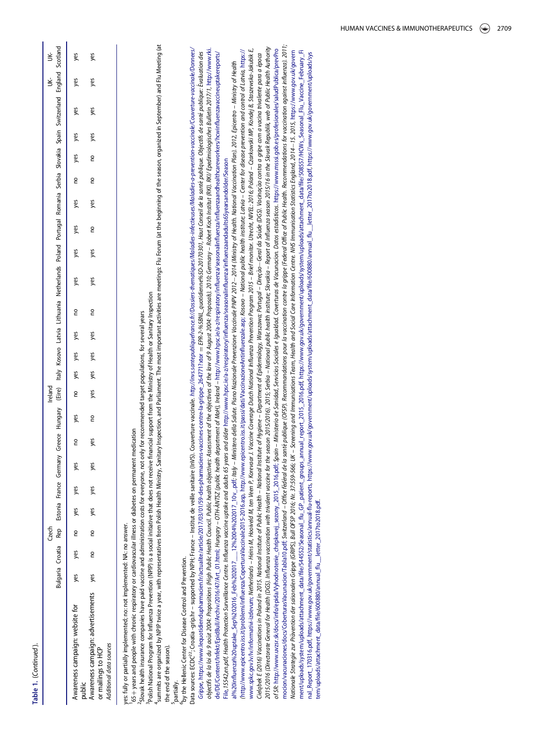<span id="page-4-0"></span>

|                                                                                                  |     |     | Czech |            |     |     |            |               | Ireland |            |                                                            |   |                                                                                                                                                                                        |     |     |     |            |               |     |     | UK-<br>UK- |     |
|--------------------------------------------------------------------------------------------------|-----|-----|-------|------------|-----|-----|------------|---------------|---------|------------|------------------------------------------------------------|---|----------------------------------------------------------------------------------------------------------------------------------------------------------------------------------------|-----|-----|-----|------------|---------------|-----|-----|------------|-----|
|                                                                                                  |     |     |       |            |     |     |            |               |         |            |                                                            |   | Bulgaria Croatia Rep Estonia France Germany Greece Hungary (Eire) Italy Kosovo Latvia Lithuania Netherlands Poland Portugal Romania Serbia Slovakia Spain Switzerland England Scotland |     |     |     |            |               |     |     |            |     |
| Awareness campaign: website for<br>oublic                                                        | yes | yes |       | no yes yes |     | yes | g          | yes           | g       | yes yes    | yes                                                        | g | yes                                                                                                                                                                                    | yes | yes | yes | no yes yes |               |     | yes | yes        | уes |
| Awareness campaign: advertisements yes<br>Additional data sources<br>or mailings to HCP          |     | g   | g     | yes        | yes | yes | yes        | $\frac{1}{2}$ | yes     | yes<br>yes | yes                                                        | g | yes                                                                                                                                                                                    | yes | g   | yes | g          | $\frac{1}{2}$ | yes | yes | yes        | yes |
|                                                                                                  |     |     |       |            |     |     |            |               |         |            |                                                            |   |                                                                                                                                                                                        |     |     |     |            |               |     |     |            |     |
| res: fully or partially implemented; no: not implemented: NA: no answer.                         |     |     |       |            |     |     |            |               |         |            |                                                            |   |                                                                                                                                                                                        |     |     |     |            |               |     |     |            |     |
| 65+ years and people with chronic respiratory or cardiovascular illness or diabetes on permanent |     |     |       |            |     |     | medication |               |         |            |                                                            |   |                                                                                                                                                                                        |     |     |     |            |               |     |     |            |     |
| Slovak health insurance companies have paid vaccine and administration costs for everyone, not   |     |     |       |            |     |     |            |               |         |            | only for recommended target populations, for several years |   |                                                                                                                                                                                        |     |     |     |            |               |     |     |            |     |

Polish National Program for Influenza Prevention (NPIP) is a social initiative that does not receive financial support from the Ministry of Health or Sanitary Inspection 3Polish National Program for Influenza Prevention (NPIP) is a social initiative that does not receive financial support from the Ministry of Health or Sanitary Inspection Slovak health insurance companies have paid vaccine and administration costs for everyone, not only for recommended target populations, for several years

a summits are organized by NPIP twice a year, with representatives from Polish Health Ministry, Sanitary Inspection, and Parliament. The most important activities are meetings Flu Fourm (at the beginning of the season, org summits are organized by NPIP twice a year, with representatives from Polish Health Ministry, Sanitary Inspection, and Parliament. The most important activities are meetings Flu Forum (at the beginning of the season, organ

the end of the season). the end of the season). partially. 6by the Hellenic Center for Disease Control and Prevention. by the Hellenic Center for Disease Control and Prevention.

Data sources: ECDC<sup>23</sup>; Croatia -grip.hr - supported by NPH; France – Institut de veille sanitaire (InVS). Couverture vaccinale. http://invs.sontepubliquefance.fr//Dossiers-thernatiques/Madadies-mises/Madadies-a-prevention Data sources: ECDC<sup>22</sup>; Croatia-grip.hr – supported by NPH; France – Institut de veille sanitaire (InVS). Couverture vaccinale. http://invs.sontepubliquef*ance.fil/Dossiers-thenatiques/Maladies-infectives/Maladies-o-preent* objectifs de la loi du 2004: Popositions (High Public Health Council. Public health objectives: Assessment of the objectives of the low of 9 August 2004: Proposds). 2010; Germany – Robert Koch Institut (RKI). RKV. Epedimio objectifs de la loi du 2004: Popositions (High Public Health Council. Public health objectives: Assessment of the objectives of the low of 9 August 2004: Proposals). 2010; Germany – Robert Koch Institut (RKI). RKI/ Epedimi [Grippe,](http://invs.santepubliquefrance.fr//Dossiers-thematiques/Maladies-infectieuses/Maladies-a-prevention-vaccinale/Couverture-vaccinale/Donnees/Grippe) [https://www.lequotidiendupharmacien.fr/actualite/article/2017/03/01/59-des-pharmaciens-vaccines-contre-la-grippe\\_264771?xtor](https://www.lequotidiendupharmacien.fr/actualite/article/2017/03/01/59-des-pharmaciens-vaccines-contre-la-grippe_264771?xtor) = EPR-2-%5BML\_quotidienne%5D-2017.0301, Haut Conseil de saonté publique. Objectifs de san Grippe, https://www.lequotidiendupharmacien.fr/actualite/article/2017/03/01/99-des-pharmaciens-vaccines-contre-la-grippe\_2647717xtor = EPR-2-%5BML\_quotidienne%5D-20170301, Haut Conseil de saonté publique. Objectifs de sant ANTSZ (public health department of MoH), Ireland – [http://www.hpsc.ie/a-z/respiratory/in](http://www.hpsc.ie/a-z/respiratory/influenza/seasonalinfluenza/influenzaandhealthcareworkers/hcwinfluenzavaccineuptakereports/File)fluenza/seasonalinfluenza/influenzaandhealthcareworkers/hcwinfluenzavaccineuptakereports/ al%20influenza%20uptake\_Sep%202016\_Feb%202017\_\_12%2004%202017\_10v\_;pdf; haly - Ministero della Solute. Piano Nazionale Prevenzione Place PMPV 2012-2014 (Ministry of Health. National Vaccination Plan). 2012. Epicentro - Min a%20influenza%202016\_Feb%202017\_\_\_12%2004%202017\_10V\_\_pdf; It[al](http://www.hpsc.ie/a-z/respiratory/influenza/seasonalinfluenza/influenzaandadults65yearsandolder/Seasonal%20influenza%20uptake_Sep%202016_Feb%202017___12%2004%202017_10v_.pdf)y – Ministero della Salute. Piano Nazional Prevenzione Vaccinale PNPV 2012—2014 (Ministry of Health Nation Plan). 2012. Epicentro – Ministry of Health File,15542,en.pdf. Health Protection Surveillance Centre. Influenza vaccine uptake and adults of years and older http://www.hpsc.ie/a-z/respiratory/influenza/seasonalinfluenza/influenzandadults65yearsandolder/Season [File](http://www.hpsc.ie/a-z/respiratory/influenza/seasonalinfluenza/influenzaandhealthcareworkers/hcwinfluenzavaccineuptakereports/File),15542,en.pdf, Health Protection Surveillance Centre. Influenza vaccine uptake and adults 65 years and older http://www.hpsc.ie/a-z/respiratory/influenza/seasonalinfluenza/infl[uenzaandadults65yearsandolder/Season](http://www.hpsc.ie/a-z/respiratory/influenza/seasonalinfluenza/influenzaandadults65yearsandolder/Seasonal%20influenza%20uptake_Sep%202016_Feb%202017___12%2004%202017_10v_.pdf) `੧ [de/DE/Content/Infekt/EpidBull/Archiv/2016/47/Art\\_01.html;](http://www.rki.de/DE/Content/Infekt/EpidBull/Archiv/2016/47/Art_01.html;) Hungary – OTH-

mocion/vacunaciones/docs/CoberturasVacunacion/Tabla10.pdf Switzerland – Office fédéral de la samé publique (OFSP). Recommandations pour la vaccination contre la grippe (Federal Office of Public Health. Recommendations for mocionvacunaciones/docs/CoberturasVacunacion/Tabla10.pdf Switzerland – Office fédéral de la somé publique (OFSP). Recommandations pour la vaccination contre le grippe (Federal Office of Aublic Health. Recommendations for v 2016 (Directorate General for Health (DGS). Influenza vaccination with trivalent vaccine for the season 2015/2016). 2015; Serbia – National public health institute; Slovakia – Report of Influenza season 2015/16 in the Slov 2015/2016 (Directorate General for Shallenza vaccination with thivalent vaccine for the season 2015/2016, 2015; Serbia – National public health heath institute; Slovakia – Report of Influenza season 2015/16 in the Slovak R www.spkc.qov.lv/lv/informativi-izdevum; Netherlands – Heins M, Hoiveld M, ten Veen P, Korevaar 1. Vaccine Coverage Dutch Mational Influenza Prevention Program 2015 – Brief monitor. Utrecht, NIVEL: 2016; Poland – Czarkowski of SR http://www.uvzsr.sk/docs/info/epida/Wyhodnotenie\_chripkovej\_sezony\_2015\_2016.pdf\_Spain – Ministerio de Sanidad, Servicios Socioles e Jayuddad. Coverturas de Vacunacion. Datos estadísticos. https://www.msssi.gob.es/pr ment/uploads/system/uploads/attachment\_data/file/544552/Seasonal\_flu\_GP\_patient\_groups\_annual\_report\_2015\_2016.pdf, https://www.gov.uk/qovernment/uploads/system/uploads/attachment\_data/file/58557/HCWs\_Seasonal\_Flu\_Vaccine\_ (http://www.epicentro.iss.it/problemi/influenza/Copertural/accinale2015-2016.asp. http://www.epicentro.iss.it/passi/dati/VaccinazioneAntinfluenzale.asp; Kosovo – Mational public health institute; Latvia – Center for diseas /http://www.epicentro.iss.it/problemi/influenza/Copertural/accinale2015-2016.asp, [http://www.epicentro.iss.it/passi/dati/VaccinazioneAntin](http://www.epicentro.iss.it/passi/dati/VaccinazioneAntinfluenzale.asp;)fluenzale.asp; Kosowo – Mational public health institute; Latvia – Center for diseas www.spkc.gov.lv/Informativi-izdevum; Netherlands – Heins M, Hooiveld M, ten Veen P, Korevaar J. Vaccine Coverage Dutch Mational Influenza Prevention Program 2015 – Brief monitor. Utrecht, NVIEL: 2016; Poland – Czarkowski M of SR: http://www.uvzsr.sk/docs/info/epida/Vyhodnotenie\_chripkovej\_sexory\_2015\_2016.pdf\_Spain – Ministerio de Sanidad, Servicios Sociales e Igualdad. Coverturas de Vacunacion. Datos estadísticos. https://www.msssi.gob.es/p Nationale Strategie zur Prävention der saisonalen Grippe (GRIPS), Bull OFSP 2016; W. 37559-566; UK – Screening and Immunisation Centre. WHS Immunisation Statistics England. 2014–15. 2015, https://www.gov.uk/govern Nationale Strategie zur Prävention der saisonalen Grilppe (GRIP3), Bull OFSP 2016, W. 37359-566; UK – Screening and Immunisation Cente Indomation Centre. MHS Immunisation Statistics England, 2014–15. 2015, https://www.gov. ment/uploads/attachment\_data/file/544552/Seasonal\_flu[\\_GP\\_patient\\_groups\\_annual\\_report\\_2015\\_2016.pdf](https://www.gov.uk/government/uploads/system/uploads/attachment_data/file/544552/Seasonal_flu_GP_patient_groups_annual_report_2015_2016.pdf), https://www.gov.uk/government/uploads/sytem/uploads/attachment\_data/file/508557/HCWs\_Seasonal\_Flu\_Vaccine\_February\_Fi Cieląbek E (2016) Vaccinations in Poland in 2015. National Institute of Rugional Institute of Hygiene – Deparment of Epidemiology, Warszawa, Portugal – Direção –Geral da Saúde (DGS). Vacinação contra a gripe com a vacina t nal\_Report\_170316.pdf, https://www.gov.uk/government/statistics/annual-flu-reports, https://www.gov.uk/government/uploads/system/uploads/system/uploads/attachnent\_data/file/600880/annual\_flu\_\_letter\_2017to2018.pdf, https:/ nal\_Report\_170316pdf, [https://www.gov.uk/government/statistics/annual-](https://www.gov.uk/government/statistics/annual-flu-reports)flu-reports, [https://www.gov.uk/government/uploads/system/uploads/attachment\\_data/](https://www.gov.uk/government/uploads/system/uploads/attachment_data/file/600880/annual_flu__letter_2017to2018.pdf)file/600880/annual\_flu\_\_letter\_2017to2018.pdf, https://www.gov.uk/gove Celabek E (2016) Vaccinations in Podand in 2013. National Institute of Holico Health – National Poloter Apportance, Portugal – Direction-Geral da Saúde (DGS). Vacinação contra a gripe com a vacina trivalente para a época tem/uploads/attachment\_data/file/600880/annual\_flu\_\_letter\_2017to2018.pdf. [tem/uploads/attachment\\_data/](https://www.gov.uk/government/uploads/system/uploads/attachment_data/file/600880/annual_flu__letter_2017to2018.pdf)file/600880/annual\_flu\_\_letter\_2017to2018.pdf.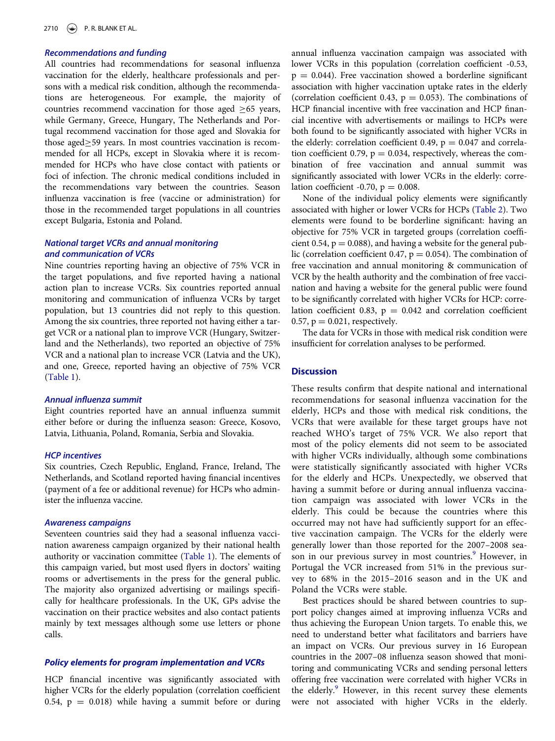# Recommendations and funding

All countries had recommendations for seasonal influenza vaccination for the elderly, healthcare professionals and persons with a medical risk condition, although the recommendations are heterogeneous. For example, the majority of countries recommend vaccination for those aged  $\geq 65$  years, while Germany, Greece, Hungary, The Netherlands and Portugal recommend vaccination for those aged and Slovakia for those aged 
259 years. In most countries vaccination is recommended for all HCPs, except in Slovakia where it is recommended for HCPs who have close contact with patients or foci of infection. The chronic medical conditions included in the recommendations vary between the countries. Season influenza vaccination is free (vaccine or administration) for those in the recommended target populations in all countries except Bulgaria, Estonia and Poland.

# National target VCRs and annual monitoring and communication of VCRs

Nine countries reporting having an objective of 75% VCR in the target populations, and five reported having a national action plan to increase VCRs. Six countries reported annual monitoring and communication of influenza VCRs by target population, but 13 countries did not reply to this question. Among the six countries, three reported not having either a target VCR or a national plan to improve VCR (Hungary, Switzerland and the Netherlands), two reported an objective of 75% VCR and a national plan to increase VCR (Latvia and the UK), and one, Greece, reported having an objective of 75% VCR [\(Table 1\)](#page-3-0).

#### Annual influenza summit

Eight countries reported have an annual influenza summit either before or during the influenza season: Greece, Kosovo, Latvia, Lithuania, Poland, Romania, Serbia and Slovakia.

#### HCP incentives

Six countries, Czech Republic, England, France, Ireland, The Netherlands, and Scotland reported having financial incentives (payment of a fee or additional revenue) for HCPs who administer the influenza vaccine.

#### Awareness campaigns

Seventeen countries said they had a seasonal influenza vaccination awareness campaign organized by their national health authority or vaccination committee ([Table 1\)](#page-3-0). The elements of this campaign varied, but most used flyers in doctors' waiting rooms or advertisements in the press for the general public. The majority also organized advertising or mailings specifically for healthcare professionals. In the UK, GPs advise the vaccination on their practice websites and also contact patients mainly by text messages although some use letters or phone calls.

# Policy elements for program implementation and VCRs

<span id="page-5-0"></span>HCP financial incentive was significantly associated with higher VCRs for the elderly population (correlation coefficient 0.54,  $p = 0.018$ ) while having a summit before or during

annual influenza vaccination campaign was associated with lower VCRs in this population (correlation coefficient -0.53,  $p = 0.044$ ). Free vaccination showed a borderline significant association with higher vaccination uptake rates in the elderly (correlation coefficient 0.43,  $p = 0.053$ ). The combinations of HCP financial incentive with free vaccination and HCP financial incentive with advertisements or mailings to HCPs were both found to be significantly associated with higher VCRs in the elderly: correlation coefficient 0.49,  $p = 0.047$  and correlation coefficient 0.79,  $p = 0.034$ , respectively, whereas the combination of free vaccination and annual summit was significantly associated with lower VCRs in the elderly: correlation coefficient -0.70,  $p = 0.008$ .

None of the individual policy elements were significantly associated with higher or lower VCRs for HCPs ([Table 2](#page-6-0)). Two elements were found to be borderline significant: having an objective for 75% VCR in targeted groups (correlation coefficient 0.54,  $p = 0.088$ ), and having a website for the general public (correlation coefficient 0.47,  $p = 0.054$ ). The combination of free vaccination and annual monitoring & communication of VCR by the health authority and the combination of free vaccination and having a website for the general public were found to be significantly correlated with higher VCRs for HCP: correlation coefficient 0.83,  $p = 0.042$  and correlation coefficient 0.57,  $p = 0.021$ , respectively.

The data for VCRs in those with medical risk condition were insufficient for correlation analyses to be performed.

# **Discussion**

These results confirm that despite national and international recommendations for seasonal influenza vaccination for the elderly, HCPs and those with medical risk conditions, the VCRs that were available for these target groups have not reached WHO's target of 75% VCR. We also report that most of the policy elements did not seem to be associated with higher VCRs individually, although some combinations were statistically significantly associated with higher VCRs for the elderly and HCPs. Unexpectedly, we observed that having a summit before or during annual influenza vaccination campaign was associated with lower VCRs in the elderly. This could be because the countries where this occurred may not have had sufficiently support for an effective vaccination campaign. The VCRs for the elderly were generally lower than those reported for the 2007–2008 sea-son in our previous survey in most countries.<sup>[9](#page-8-6)</sup> However, in Portugal the VCR increased from 51% in the previous survey to 68% in the 2015–2016 season and in the UK and Poland the VCRs were stable.

Best practices should be shared between countries to support policy changes aimed at improving influenza VCRs and thus achieving the European Union targets. To enable this, we need to understand better what facilitators and barriers have an impact on VCRs. Our previous survey in 16 European countries in the 2007–08 influenza season showed that monitoring and communicating VCRs and sending personal letters offering free vaccination were correlated with higher VCRs in the elderly.<sup>9</sup> However, in this recent survey these elements were not associated with higher VCRs in the elderly.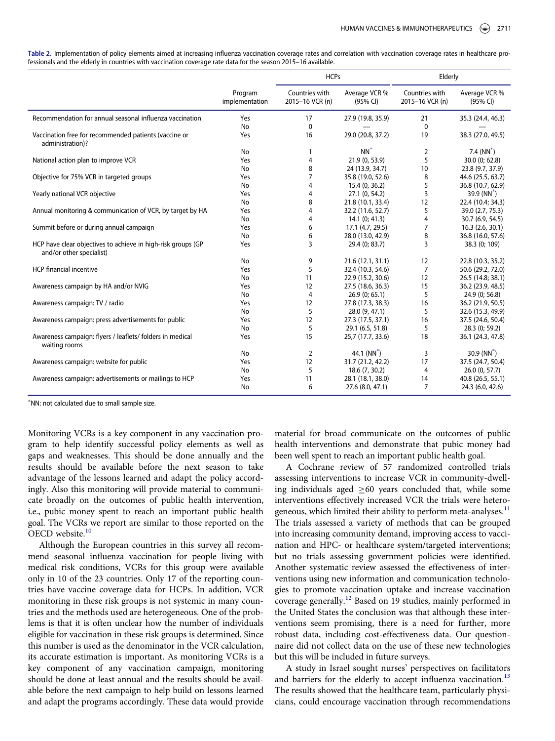<span id="page-6-0"></span>

| Table 2. Implementation of policy elements aimed at increasing influenza vaccination coverage rates and correlation with vaccination coverage rates in healthcare pro- |
|------------------------------------------------------------------------------------------------------------------------------------------------------------------------|
| fessionals and the elderly in countries with vaccination coverage rate data for the season 2015–16 available.                                                          |

|                                                                                          |                           | <b>HCPs</b>                       |                           | Elderly                           |                           |
|------------------------------------------------------------------------------------------|---------------------------|-----------------------------------|---------------------------|-----------------------------------|---------------------------|
|                                                                                          | Program<br>implementation | Countries with<br>2015-16 VCR (n) | Average VCR %<br>(95% CI) | Countries with<br>2015-16 VCR (n) | Average VCR %<br>(95% CI) |
| Recommendation for annual seasonal influenza vaccination                                 | Yes                       | 17                                | 27.9 (19.8, 35.9)         | 21                                | 35.3 (24.4, 46.3)         |
|                                                                                          | No                        | $\mathbf 0$                       |                           | $\mathbf 0$                       |                           |
| Vaccination free for recommended patients (vaccine or<br>administration)?                | Yes                       | 16                                | 29.0 (20.8, 37.2)         | 19                                | 38.3 (27.0, 49.5)         |
|                                                                                          | No                        | 1                                 | $NN^*$                    | $\overline{2}$                    | 7.4 $(NN^*)$              |
| National action plan to improve VCR                                                      | Yes                       | $\overline{4}$                    | 21.9 (0, 53.9)            | 5                                 | 30.0 (0; 62.8)            |
|                                                                                          | No                        | 8                                 | 24 (13.9, 34.7)           | 10                                | 23.8 (9.7, 37.9)          |
| Objective for 75% VCR in targeted groups                                                 | Yes                       | $\overline{7}$                    | 35.8 (19.0, 52.6)         | 8                                 | 44.6 (25.5, 63.7)         |
|                                                                                          | No                        | $\overline{4}$                    | 15.4 (0, 36.2)            | 5                                 | 36.8 (10.7, 62.9)         |
| Yearly national VCR objective                                                            | Yes                       | 4                                 | 27.1 (0, 54.2)            | 3                                 | 39.9 $(NN^*)$             |
|                                                                                          | No                        | 8                                 | 21.8 (10.1, 33.4)         | 12                                | 22.4 (10.4; 34.3)         |
| Annual monitoring & communication of VCR, by target by HA                                | Yes                       | $\overline{4}$                    | 32.2 (11.6, 52.7)         | 5                                 | 39.0 (2.7, 75.3)          |
|                                                                                          | No                        | 4                                 | 14.1(0; 41.3)             | $\overline{4}$                    | 30.7 (6.9, 54.5)          |
| Summit before or during annual campaign                                                  | Yes                       | 6                                 | 17.1 (4.7, 29.5)          | $\overline{7}$                    | 16.3(2.6, 30.1)           |
|                                                                                          | No                        | 6                                 | 28.0 (13.0, 42.9)         | 8                                 | 36.8 (16.0, 57.6)         |
| HCP have clear objectives to achieve in high-risk groups (GP<br>and/or other specialist) | Yes                       | $\overline{3}$                    | 29.4 (0; 83.7)            | 3                                 | 38.3 (0; 109)             |
|                                                                                          | No                        | 9                                 | 21.6 (12.1, 31.1)         | 12                                | 22.8 (10.3, 35.2)         |
| <b>HCP</b> financial incentive                                                           | Yes                       | 5                                 | 32.4 (10.3, 54.6)         | $\overline{7}$                    | 50.6 (29.2, 72.0)         |
|                                                                                          | No                        | 11                                | 22.9 (15.2, 30.6)         | 12                                | 26.5 (14.8; 38.1)         |
| Awareness campaign by HA and/or NVIG                                                     | Yes                       | 12                                | 27.5 (18.6, 36.3)         | 15                                | 36.2 (23.9, 48.5)         |
|                                                                                          | <b>No</b>                 | $\overline{4}$                    | 26.9(0; 65.1)             | 5                                 | 24.9 (0; 56.8)            |
| Awareness campaign: TV / radio                                                           | Yes                       | 12                                | 27.8 (17.3, 38.3)         | 16                                | 36.2 (21.9, 50.5)         |
|                                                                                          | No                        | 5                                 | 28.0 (9, 47.1)            | 5                                 | 32.6 (15.3, 49.9)         |
| Awareness campaign: press advertisements for public                                      | Yes                       | 12                                | 27.3 (17.5, 37.1)         | 16                                | 37.5 (24.6, 50.4)         |
|                                                                                          | No                        | 5                                 | 29.1 (6.5, 51.8)          | 5                                 | 28.3 (0; 59.2)            |
| Awareness campaign: flyers / leaflets/ folders in medical<br>waiting rooms               | Yes                       | 15                                | 25,7 (17.7, 33.6)         | 18                                | 36.1 (24.3, 47.8)         |
|                                                                                          | No                        | 2                                 | 44.1 $(NN^*)$             | 3                                 | 30.9 $(NN^*)$             |
| Awareness campaign: website for public                                                   | Yes                       | 12                                | 31.7 (21.2, 42.2)         | 17                                | 37.5 (24.7, 50.4)         |
|                                                                                          | No                        | 5                                 | 18.6 (7, 30.2)            | 4                                 | 26.0(0, 57.7)             |
| Awareness campaign: advertisements or mailings to HCP                                    | Yes                       | 11                                | 28.1 (18.1, 38.0)         | 14                                | 40.8 (26.5, 55.1)         |
|                                                                                          | No                        | 6                                 | 27.6 (8.0, 47.1)          | $\overline{7}$                    | 24.3 (6.0, 42.6)          |

<span id="page-6-1"></span>NN: not calculated due to small sample size.

Monitoring VCRs is a key component in any vaccination program to help identify successful policy elements as well as gaps and weaknesses. This should be done annually and the results should be available before the next season to take advantage of the lessons learned and adapt the policy accordingly. Also this monitoring will provide material to communicate broadly on the outcomes of public health intervention, i.e., pubic money spent to reach an important public health goal. The VCRs we report are similar to those reported on the OECD website.<sup>[10](#page-8-7)</sup>

<span id="page-6-5"></span><span id="page-6-4"></span><span id="page-6-3"></span><span id="page-6-2"></span>Although the European countries in this survey all recommend seasonal influenza vaccination for people living with medical risk conditions, VCRs for this group were available only in 10 of the 23 countries. Only 17 of the reporting countries have vaccine coverage data for HCPs. In addition, VCR monitoring in these risk groups is not systemic in many countries and the methods used are heterogeneous. One of the problems is that it is often unclear how the number of individuals eligible for vaccination in these risk groups is determined. Since this number is used as the denominator in the VCR calculation, its accurate estimation is important. As monitoring VCRs is a key component of any vaccination campaign, monitoring should be done at least annual and the results should be available before the next campaign to help build on lessons learned and adapt the programs accordingly. These data would provide

material for broad communicate on the outcomes of public health interventions and demonstrate that pubic money had been well spent to reach an important public health goal.

A Cochrane review of 57 randomized controlled trials assessing interventions to increase VCR in community-dwelling individuals aged  $\geq 60$  years concluded that, while some interventions effectively increased VCR the trials were heterogeneous, which limited their ability to perform meta-analyses. $<sup>11</sup>$  $<sup>11</sup>$  $<sup>11</sup>$ </sup> The trials assessed a variety of methods that can be grouped into increasing community demand, improving access to vaccination and HPC- or healthcare system/targeted interventions; but no trials assessing government policies were identified. Another systematic review assessed the effectiveness of interventions using new information and communication technologies to promote vaccination uptake and increase vaccination coverage generally.[12](#page-8-9) Based on 19 studies, mainly performed in the United States the conclusion was that although these interventions seem promising, there is a need for further, more robust data, including cost-effectiveness data. Our questionnaire did not collect data on the use of these new technologies but this will be included in future surveys.

A study in Israel sought nurses' perspectives on facilitators and barriers for the elderly to accept influenza vaccination.<sup>[13](#page-8-10)</sup> The results showed that the healthcare team, particularly physicians, could encourage vaccination through recommendations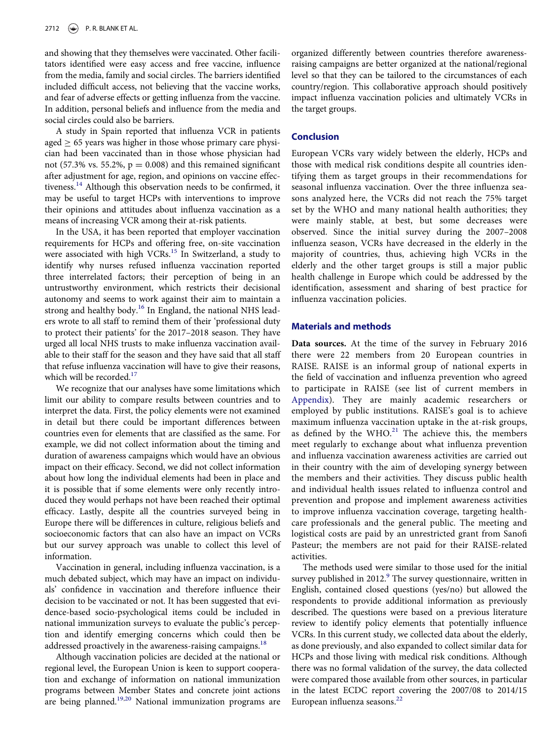and showing that they themselves were vaccinated. Other facilitators identified were easy access and free vaccine, influence from the media, family and social circles. The barriers identified included difficult access, not believing that the vaccine works, and fear of adverse effects or getting influenza from the vaccine. In addition, personal beliefs and influence from the media and social circles could also be barriers.

A study in Spain reported that influenza VCR in patients  $\text{aged} \geq 65$  years was higher in those whose primary care physician had been vaccinated than in those whose physician had not (57.3% vs. 55.2%,  $p = 0.008$ ) and this remained significant after adjustment for age, region, and opinions on vaccine effec-tiveness.<sup>[14](#page-8-11)</sup> Although this observation needs to be confirmed, it may be useful to target HCPs with interventions to improve their opinions and attitudes about influenza vaccination as a means of increasing VCR among their at-risk patients.

<span id="page-7-2"></span><span id="page-7-1"></span><span id="page-7-0"></span>In the USA, it has been reported that employer vaccination requirements for HCPs and offering free, on-site vaccination were associated with high VCRs.<sup>[15](#page-8-12)</sup> In Switzerland, a study to identify why nurses refused influenza vaccination reported three interrelated factors; their perception of being in an untrustworthy environment, which restricts their decisional autonomy and seems to work against their aim to maintain a strong and healthy body.<sup>[16](#page-8-13)</sup> In England, the national NHS leaders wrote to all staff to remind them of their 'professional duty to protect their patients' for the 2017–2018 season. They have urged all local NHS trusts to make influenza vaccination available to their staff for the season and they have said that all staff that refuse influenza vaccination will have to give their reasons, which will be recorded.<sup>[17](#page-8-14)</sup>

<span id="page-7-6"></span><span id="page-7-3"></span>We recognize that our analyses have some limitations which limit our ability to compare results between countries and to interpret the data. First, the policy elements were not examined in detail but there could be important differences between countries even for elements that are classified as the same. For example, we did not collect information about the timing and duration of awareness campaigns which would have an obvious impact on their efficacy. Second, we did not collect information about how long the individual elements had been in place and it is possible that if some elements were only recently introduced they would perhaps not have been reached their optimal efficacy. Lastly, despite all the countries surveyed being in Europe there will be differences in culture, religious beliefs and socioeconomic factors that can also have an impact on VCRs but our survey approach was unable to collect this level of information.

Vaccination in general, including influenza vaccination, is a much debated subject, which may have an impact on individuals' confidence in vaccination and therefore influence their decision to be vaccinated or not. It has been suggested that evidence-based socio-psychological items could be included in national immunization surveys to evaluate the public's perception and identify emerging concerns which could then be addressed proactively in the awareness-raising campaigns.<sup>[18](#page-8-15)</sup>

<span id="page-7-7"></span><span id="page-7-5"></span><span id="page-7-4"></span>Although vaccination policies are decided at the national or regional level, the European Union is keen to support cooperation and exchange of information on national immunization programs between Member States and concrete joint actions are being planned.<sup>[19](#page-9-0),[20](#page-9-1)</sup> National immunization programs are

organized differently between countries therefore awarenessraising campaigns are better organized at the national/regional level so that they can be tailored to the circumstances of each country/region. This collaborative approach should positively impact influenza vaccination policies and ultimately VCRs in the target groups.

# **Conclusion**

European VCRs vary widely between the elderly, HCPs and those with medical risk conditions despite all countries identifying them as target groups in their recommendations for seasonal influenza vaccination. Over the three influenza seasons analyzed here, the VCRs did not reach the 75% target set by the WHO and many national health authorities; they were mainly stable, at best, but some decreases were observed. Since the initial survey during the 2007–2008 influenza season, VCRs have decreased in the elderly in the majority of countries, thus, achieving high VCRs in the elderly and the other target groups is still a major public health challenge in Europe which could be addressed by the identification, assessment and sharing of best practice for influenza vaccination policies.

# Materials and methods

Data sources. At the time of the survey in February 2016 there were 22 members from 20 European countries in RAISE. RAISE is an informal group of national experts in the field of vaccination and influenza prevention who agreed to participate in RAISE (see list of current members in [Appendix](#page-9-2)). They are mainly academic researchers or employed by public institutions. RAISE's goal is to achieve maximum influenza vaccination uptake in the at-risk groups, as defined by the WHO. $21$  The achieve this, the members meet regularly to exchange about what influenza prevention and influenza vaccination awareness activities are carried out in their country with the aim of developing synergy between the members and their activities. They discuss public health and individual health issues related to influenza control and prevention and propose and implement awareness activities to improve influenza vaccination coverage, targeting healthcare professionals and the general public. The meeting and logistical costs are paid by an unrestricted grant from Sanofi Pasteur; the members are not paid for their RAISE-related activities.

The methods used were similar to those used for the initial survey published in 2012.<sup>[9](#page-8-6)</sup> The survey questionnaire, written in English, contained closed questions (yes/no) but allowed the respondents to provide additional information as previously described. The questions were based on a previous literature review to identify policy elements that potentially influence VCRs. In this current study, we collected data about the elderly, as done previously, and also expanded to collect similar data for HCPs and those living with medical risk conditions. Although there was no formal validation of the survey, the data collected were compared those available from other sources, in particular in the latest ECDC report covering the 2007/08 to 2014/15 European influenza seasons.<sup>[22](#page-9-4)</sup>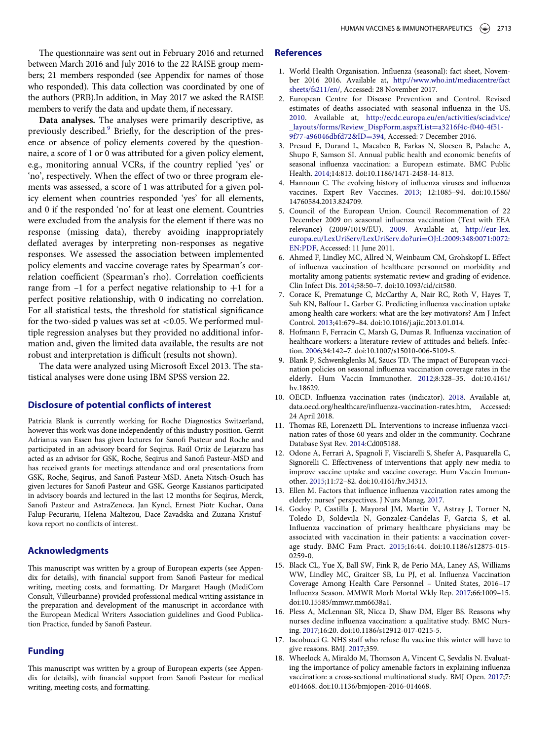<span id="page-8-0"></span>The questionnaire was sent out in February 2016 and returned between March 2016 and July 2016 to the 22 RAISE group members; 21 members responded (see Appendix for names of those who responded). This data collection was coordinated by one of the authors (PRB).In addition, in May 2017 we asked the RAISE members to verify the data and update them, if necessary.

<span id="page-8-4"></span><span id="page-8-3"></span><span id="page-8-2"></span><span id="page-8-1"></span>Data analyses. The analyses were primarily descriptive, as previously described.[9](#page-8-6) Briefly, for the description of the presence or absence of policy elements covered by the questionnaire, a score of 1 or 0 was attributed for a given policy element, e.g., monitoring annual VCRs, if the country replied 'yes' or 'no', respectively. When the effect of two or three program elements was assessed, a score of 1 was attributed for a given policy element when countries responded 'yes' for all elements, and 0 if the responded 'no' for at least one element. Countries were excluded from the analysis for the element if there was no response (missing data), thereby avoiding inappropriately deflated averages by interpreting non-responses as negative responses. We assessed the association between implemented policy elements and vaccine coverage rates by Spearman's correlation coefficient (Spearman's rho). Correlation coefficients range from  $-1$  for a perfect negative relationship to  $+1$  for a perfect positive relationship, with 0 indicating no correlation. For all statistical tests, the threshold for statistical significance for the two-sided p values was set at  $<$  0.05. We performed multiple regression analyses but they provided no additional information and, given the limited data available, the results are not robust and interpretation is difficult (results not shown).

<span id="page-8-6"></span><span id="page-8-5"></span>The data were analyzed using Microsoft Excel 2013. The statistical analyses were done using IBM SPSS version 22.

# <span id="page-8-7"></span>Disclosure of potential conflicts of interest

<span id="page-8-9"></span><span id="page-8-8"></span>Patricia Blank is currently working for Roche Diagnostics Switzerland, however this work was done independently of this industry position. Gerrit Adrianus van Essen has given lectures for Sanofi Pasteur and Roche and participated in an advisory board for Seqirus. Raúl Ortiz de Lejarazu has acted as an advisor for GSK, Roche, Seqirus and Sanofi Pasteur-MSD and has received grants for meetings attendance and oral presentations from GSK, Roche, Seqirus, and Sanofi Pasteur-MSD. Aneta Nitsch-Osuch has given lectures for Sanofi Pasteur and GSK. George Kassianos participated in advisory boards and lectured in the last 12 months for Seqirus, Merck, Sanofi Pasteur and AstraZeneca. Jan Kyncl, Ernest Piotr Kuchar, Oana Falup-Pecurariu, Helena Maltezou, Dace Zavadska and Zuzana Kristufkova report no conflicts of interest.

#### <span id="page-8-11"></span><span id="page-8-10"></span>Acknowledgments

<span id="page-8-12"></span>This manuscript was written by a group of European experts (see Appendix for details), with financial support from Sanofi Pasteur for medical writing, meeting costs, and formatting. Dr Margaret Haugh (MediCom Consult, Villeurbanne) provided professional medical writing assistance in the preparation and development of the manuscript in accordance with the European Medical Writers Association guidelines and Good Publication Practice, funded by Sanofi Pasteur.

# <span id="page-8-15"></span><span id="page-8-14"></span><span id="page-8-13"></span>Funding

This manuscript was written by a group of European experts (see Appendix for details), with financial support from Sanofi Pasteur for medical writing, meeting costs, and formatting.

# References

- 1. World Health Organisation. Influenza (seasonal): fact sheet, November 2016 2016. Available at, [http://www.who.int/mediacentre/fact](http://www.who.int/mediacentre/factsheets/fs211/en/) [sheets/fs211/en/](http://www.who.int/mediacentre/factsheets/fs211/en/), Accessed: 28 November 2017.
- 2. European Centre for Disease Prevention and Control. Revised estimates of deaths associated with seasonal influenza in the US. [2010](#page-1-8). Available at, [http://ecdc.europa.eu/en/activities/sciadvice/](http://ecdc.europa.eu/en/activities/sciadvice/_layouts/forms/Review_DispForm.aspx?List=a3216f4c-f040-4f51-9f77-a96046dbfd72&ID=394) [\\_layouts/forms/Review\\_DispForm.aspx](http://ecdc.europa.eu/en/activities/sciadvice/_layouts/forms/Review_DispForm.aspx?List=a3216f4c-f040-4f51-9f77-a96046dbfd72&ID=394)?[List](http://ecdc.europa.eu/en/activities/sciadvice/_layouts/forms/Review_DispForm.aspx?List=a3216f4c-f040-4f51-9f77-a96046dbfd72&ID=394)D[a3216f4c-f040-4f51-](http://ecdc.europa.eu/en/activities/sciadvice/_layouts/forms/Review_DispForm.aspx?List=a3216f4c-f040-4f51-9f77-a96046dbfd72&ID=394) [9f77-a96046dbfd72&ID](http://ecdc.europa.eu/en/activities/sciadvice/_layouts/forms/Review_DispForm.aspx?List=a3216f4c-f040-4f51-9f77-a96046dbfd72&ID=394)=[394](http://ecdc.europa.eu/en/activities/sciadvice/_layouts/forms/Review_DispForm.aspx?List=a3216f4c-f040-4f51-9f77-a96046dbfd72&ID=394), Accessed: 7 December 2016.
- 3. Preaud E, Durand L, Macabeo B, Farkas N, Sloesen B, Palache A, Shupo F, Samson SI. Annual public health and economic benefits of seasonal influenza vaccination: a European estimate. BMC Public Health. [2014;](#page-1-9)14:813. doi[:10.1186/1471-2458-14-813.](https://doi.org/10.1186/1471-2458-14-813)
- 4. Hannoun C. The evolving history of influenza viruses and influenza vaccines. Expert Rev Vaccines. [2013](#page-1-10); 12:1085–94. doi[:10.1586/](https://doi.org/10.1586/14760584.2013.824709) [14760584.2013.824709.](https://doi.org/10.1586/14760584.2013.824709)
- 5. Council of the European Union. Council Recommenation of 22 December 2009 on seasonal influenza vaccination (Text with EEA relevance) (2009/1019/EU). [2009](#page-2-1). Available at, [http://eur-lex.](http://eur-lex.europa.eu/LexUriServ/LexUriServ.do?uri=OJ:L:2009:348:0071:0072:EN:PDF) [europa.eu/LexUriServ/LexUriServ.do?uri](http://eur-lex.europa.eu/LexUriServ/LexUriServ.do?uri=OJ:L:2009:348:0071:0072:EN:PDF)=[OJ:L:2009:348:0071:0072:](http://eur-lex.europa.eu/LexUriServ/LexUriServ.do?uri=OJ:L:2009:348:0071:0072:EN:PDF) [EN:PDF,](http://eur-lex.europa.eu/LexUriServ/LexUriServ.do?uri=OJ:L:2009:348:0071:0072:EN:PDF) Accessed: 11 June 2011.
- 6. Ahmed F, Lindley MC, Allred N, Weinbaum CM, Grohskopf L. Effect of influenza vaccination of healthcare personnel on morbidity and mortality among patients: systematic review and grading of evidence. Clin Infect Dis. [2014](#page-2-2);58:50–7. doi[:10.1093/cid/cit580.](https://doi.org/10.1093/cid/cit580)
- 7. Corace K, Prematunge C, McCarthy A, Nair RC, Roth V, Hayes T, Suh KN, Balfour L, Garber G. Predicting influenza vaccination uptake among health care workers: what are the key motivators? Am J Infect Control. 2013;41:679–84. doi[:10.1016/j.ajic.2013.01.014.](https://doi.org/10.1016/j.ajic.2013.01.014)
- 8. Hofmann F, Ferracin C, Marsh G, Dumas R. Influenza vaccination of healthcare workers: a literature review of attitudes and beliefs. Infection. 2006;34:142–7. doi[:10.1007/s15010-006-5109-5.](https://doi.org/10.1007/s15010-006-5109-5)
- 9. Blank P, Schwenkglenks M, Szucs TD. The impact of European vaccination policies on seasonal influenza vaccination coverage rates in the elderly. Hum Vaccin Immunother. [2012;](#page-5-0)8:328–35. doi[:10.4161/](https://doi.org/10.4161/hv.18629) [hv.18629.](https://doi.org/10.4161/hv.18629)
- 10. OECD. Influenza vaccination rates (indicator). [2018](#page-6-2). Available at, data.oecd.org/healthcare/influenza-vaccination-rates.htm, Accessed: 24 April 2018.
- 11. Thomas RE, Lorenzetti DL. Interventions to increase influenza vaccination rates of those 60 years and older in the community. Cochrane Database Syst Rev. [2014:](#page-6-3)Cd005188.
- 12. Odone A, Ferrari A, Spagnoli F, Visciarelli S, Shefer A, Pasquarella C, Signorelli C. Effectiveness of interventions that apply new media to improve vaccine uptake and vaccine coverage. Hum Vaccin Immunother. [2015;](#page-6-4)11:72–82. doi:[10.4161/hv.34313.](https://doi.org/10.4161/hv.34313)
- 13. Ellen M. Factors that influence influenza vaccination rates among the elderly: nurses' perspectives. J Nurs Manag. [2017.](#page-6-5)
- 14. Godoy P, Castilla J, Mayoral JM, Martin V, Astray J, Torner N, Toledo D, Soldevila N, Gonzalez-Candelas F, Garcia S, et al. Influenza vaccination of primary healthcare physicians may be associated with vaccination in their patients: a vaccination coverage study. BMC Fam Pract. [2015](#page-7-0);16:44. doi[:10.1186/s12875-015-](https://doi.org/10.1186/s12875-015-0259-0) [0259-0.](https://doi.org/10.1186/s12875-015-0259-0)
- 15. Black CL, Yue X, Ball SW, Fink R, de Perio MA, Laney AS, Williams WW, Lindley MC, Graitcer SB, Lu PJ, et al. Influenza Vaccination Coverage Among Health Care Personnel – United States, 2016–17 Influenza Season. MMWR Morb Mortal Wkly Rep. [2017;](#page-7-1)66:1009–15. doi[:10.15585/mmwr.mm6638a1.](https://doi.org/10.15585/mmwr.mm6638a1)
- 16. Pless A, McLennan SR, Nicca D, Shaw DM, Elger BS. Reasons why nurses decline influenza vaccination: a qualitative study. BMC Nursing. [2017](#page-7-2);16:20. doi:[10.1186/s12912-017-0215-5.](https://doi.org/10.1186/s12912-017-0215-5)
- 17. Iacobucci G. NHS staff who refuse flu vaccine this winter will have to give reasons. BMJ. [2017;](#page-7-3)359.
- 18. Wheelock A, Miraldo M, Thomson A, Vincent C, Sevdalis N. Evaluating the importance of policy amenable factors in explaining influenza vaccination: a cross-sectional multinational study. BMJ Open. [2017](#page-7-4);7: e014668. doi:[10.1136/bmjopen-2016-014668.](https://doi.org/10.1136/bmjopen-2016-014668)